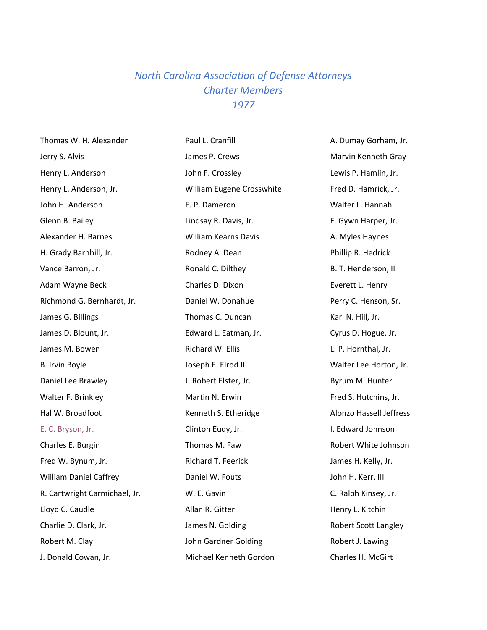## *North Carolina Association of Defense Attorneys Charter Members 1977*

Thomas W. H. Alexander Jerry S. Alvis Henry L. Anderson Henry L. Anderson, Jr. John H. Anderson Glenn B. Bailey Alexander H. Barnes H. Grady Barnhill, Jr. Vance Barron, Jr. Adam Wayne Beck Richmond G. Bernhardt, Jr. James G. Billings James D. Blount, Jr. James M. Bowen B. Irvin Boyle Daniel Lee Brawley Walter F. Brinkley Hal W. Broadfoot [E. C. Bryson, Jr.](http://www.hedrickmurray.com/attorneys/edwin-c-bryson-jr/) Charles E. Burgin Fred W. Bynum, Jr. William Daniel Caffrey R. Cartwright Carmichael, Jr. Lloyd C. Caudle Charlie D. Clark, Jr. Robert M. Clay J. Donald Cowan, Jr.

Paul L. Cranfill James P. Crews John F. Crossley William Eugene Crosswhite E. P. Dameron Lindsay R. Davis, Jr. William Kearns Davis Rodney A. Dean Ronald C. Dilthey Charles D. Dixon Daniel W. Donahue Thomas C. Duncan Edward L. Eatman, Jr. Richard W. Ellis Joseph E. Elrod III J. Robert Elster, Jr. Martin N. Erwin Kenneth S. Etheridge Clinton Eudy, Jr. Thomas M. Faw Richard T. Feerick Daniel W. Fouts W. E. Gavin Allan R. Gitter James N. Golding John Gardner Golding Michael Kenneth Gordon

A. Dumay Gorham, Jr. Marvin Kenneth Gray Lewis P. Hamlin, Jr. Fred D. Hamrick, Jr. Walter L. Hannah F. Gywn Harper, Jr. A. Myles Haynes Phillip R. Hedrick B. T. Henderson, II Everett L. Henry Perry C. Henson, Sr. Karl N. Hill, Jr. Cyrus D. Hogue, Jr. L. P. Hornthal, Jr. Walter Lee Horton, Jr. Byrum M. Hunter Fred S. Hutchins, Jr. Alonzo Hassell Jeffress I. Edward Johnson Robert White Johnson James H. Kelly, Jr. John H. Kerr, III C. Ralph Kinsey, Jr. Henry L. Kitchin Robert Scott Langley Robert J. Lawing Charles H. McGirt